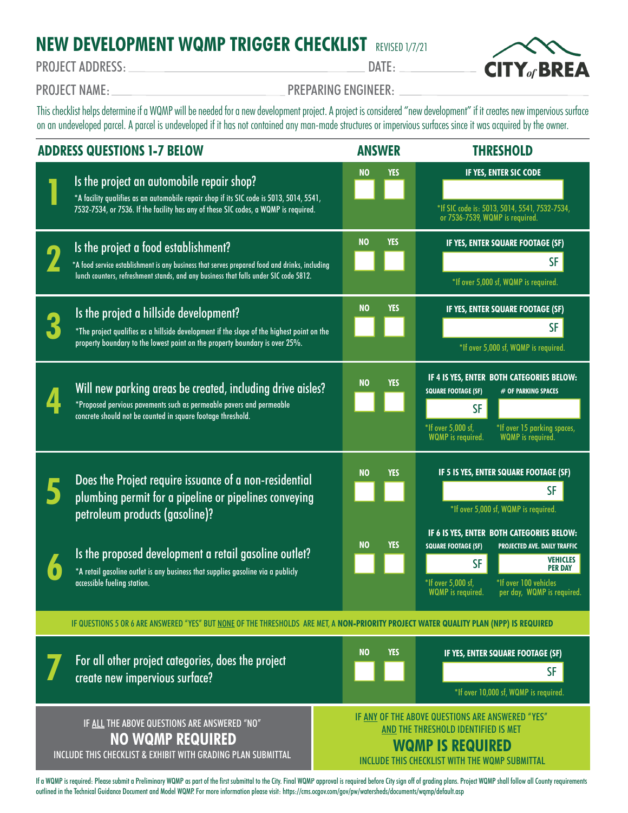## **NEW DEVELOPMENT WQMP TRIGGER CHECKLIST** REVISED 1/7/21

PROJECT ADDRESS: DATE:



PROJECT NAME: PROJECT NAME:

This checklist helps determine if a WQMP will be needed for a new development project. A project is considered "new development" if it creates new impervious surface on an undeveloped parcel. A parcel is undeveloped if it has not contained any man-made structures or impervious surfaces since it was acquired by the owner.

| <b>ADDRESS QUESTIONS 1-7 BELOW</b>                                                                                                      |                                                                                                                                                                                                                               |  | <b>ANSWER</b>                                                                                                                                                        |            | <b>THRESHOLD</b>                                                                                                                                                                                                         |
|-----------------------------------------------------------------------------------------------------------------------------------------|-------------------------------------------------------------------------------------------------------------------------------------------------------------------------------------------------------------------------------|--|----------------------------------------------------------------------------------------------------------------------------------------------------------------------|------------|--------------------------------------------------------------------------------------------------------------------------------------------------------------------------------------------------------------------------|
|                                                                                                                                         | Is the project an automobile repair shop?<br>*A facility qualifies as an automobile repair shop if its SIC code is 5013, 5014, 5541,<br>7532-7534, or 7536. If the facility has any of these SIC codes, a WQMP is required.   |  | <b>NO</b>                                                                                                                                                            | <b>YES</b> | IF YES, ENTER SIC CODE<br>*If SIC code is: 5013, 5014, 5541, 7532-7534,<br>or 7536-7539, WQMP is required.                                                                                                               |
|                                                                                                                                         | Is the project a food establishment?<br>*A food service establishment is any business that serves prepared food and drinks, including<br>lunch counters, refreshment stands, and any business that falls under SIC code 5812. |  | <b>NO</b>                                                                                                                                                            | <b>YES</b> | IF YES, ENTER SQUARE FOOTAGE (SF)<br><b>SF</b><br>*If over 5,000 sf, WQMP is required.                                                                                                                                   |
|                                                                                                                                         | Is the project a hillside development?<br>*The project qualifies as a hillside development if the slope of the highest point on the<br>property boundary to the lowest point on the property boundary is over 25%.            |  | <b>NO</b>                                                                                                                                                            | YES        | IF YES, ENTER SQUARE FOOTAGE (SF)<br><b>SF</b><br>*If over 5,000 sf, WQMP is required.                                                                                                                                   |
|                                                                                                                                         | Will new parking areas be created, including drive aisles?<br>*Proposed pervious pavements such as permeable pavers and permeable<br>concrete should not be counted in square footage threshold.                              |  | <b>NO</b>                                                                                                                                                            | <b>YES</b> | IF 4 IS YES, ENTER BOTH CATEGORIES BELOW:<br><b>SQUARE FOOTAGE (SF)</b><br># OF PARKING SPACES<br><b>SF</b><br>*If over 5,000 sf,<br>*If over 15 parking spaces,<br><b>WQMP</b> is required.<br><b>WQMP</b> is required. |
|                                                                                                                                         | Does the Project require issuance of a non-residential<br>plumbing permit for a pipeline or pipelines conveying<br>petroleum products (gasoline)?                                                                             |  | <b>NO</b><br><b>NO</b>                                                                                                                                               | YES<br>YES | IF 5 IS YES, ENTER SQUARE FOOTAGE (SF)<br><b>SF</b><br>*If over 5,000 sf, WQMP is required.<br>IF 6 IS YES, ENTER BOTH CATEGORIES BELOW:<br><b>SQUARE FOOTAGE (SF)</b><br><b>PROJECTED AVE. DAILY TRAFFIC</b>            |
| $\delta$                                                                                                                                | Is the proposed development a retail gasoline outlet?<br>*A retail gasoline outlet is any business that supplies gasoline via a publicly<br>accessible fueling station.                                                       |  |                                                                                                                                                                      |            | <b>VEHICLES</b><br><b>SF</b><br><b>PER DAY</b><br>*If over 5,000 sf,<br>*If over 100 vehicles<br><b>WQMP</b> is required.<br>per day, WQMP is required.                                                                  |
| IF QUESTIONS 5 OR 6 ARE ANSWERED "YES" BUT NONE OF THE THRESHOLDS ARE MET, A NON-PRIORITY PROJECT WATER QUALITY PLAN (NPP) IS REQUIRED  |                                                                                                                                                                                                                               |  |                                                                                                                                                                      |            |                                                                                                                                                                                                                          |
|                                                                                                                                         | For all other project categories, does the project<br>create new impervious surface?                                                                                                                                          |  | <b>NO</b>                                                                                                                                                            | <b>YES</b> | IF YES, ENTER SQUARE FOOTAGE (SF)<br><b>SF</b><br>*If over 10,000 sf, WQMP is required.                                                                                                                                  |
| IF ALL THE ABOVE QUESTIONS ARE ANSWERED "NO"<br><b>NO WQMP REQUIRED</b><br>INCLUDE THIS CHECKLIST & EXHIBIT WITH GRADING PLAN SUBMITTAL |                                                                                                                                                                                                                               |  | IF ANY OF THE ABOVE QUESTIONS ARE ANSWERED "YES"<br>AND THE THRESHOLD IDENTIFIED IS MET<br><b>WQMP IS REQUIRED</b><br>INCLUDE THIS CHECKLIST WITH THE WOMP SUBMITTAL |            |                                                                                                                                                                                                                          |

If a WQMP is required: Please submit a Preliminary WQMP as part of the first submittal to the City. Final WQMP approval is required before City sign off of grading plans. Project WQMP shall follow all County requirements outlined in the Technical Guidance Document and Model WQMP. For more information please visit: https://cms.ocgov.com/gov/pw/watersheds/documents/wqmp/default.asp